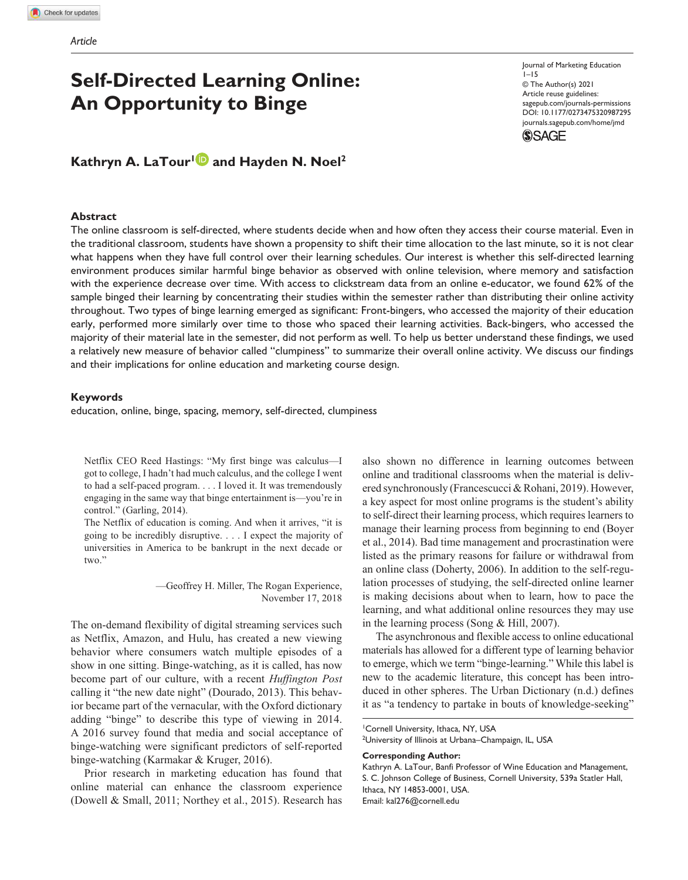# **Self-Directed Learning Online: An Opportunity to Binge**

# **Kathryn A. LaTour<sup>1</sup> and Hayden N. Noel<sup>2</sup>**

#### **Abstract**

https://doi.org/10.1177/0273475320987295 DOI: 10.1177/0273475320987295 Journal of Marketing Education  $1 - 15$ © The Author(s) 2021 Article reuse guidelines: sagepub.com/journals-permissions journals.sagepub.com/home/jmd



The online classroom is self-directed, where students decide when and how often they access their course material. Even in the traditional classroom, students have shown a propensity to shift their time allocation to the last minute, so it is not clear what happens when they have full control over their learning schedules. Our interest is whether this self-directed learning environment produces similar harmful binge behavior as observed with online television, where memory and satisfaction with the experience decrease over time. With access to clickstream data from an online e-educator, we found 62% of the sample binged their learning by concentrating their studies within the semester rather than distributing their online activity throughout. Two types of binge learning emerged as significant: Front-bingers, who accessed the majority of their education early, performed more similarly over time to those who spaced their learning activities. Back-bingers, who accessed the majority of their material late in the semester, did not perform as well. To help us better understand these findings, we used a relatively new measure of behavior called "clumpiness" to summarize their overall online activity. We discuss our findings and their implications for online education and marketing course design.

#### **Keywords**

education, online, binge, spacing, memory, self-directed, clumpiness

Netflix CEO Reed Hastings: "My first binge was calculus—I got to college, I hadn't had much calculus, and the college I went to had a self-paced program. . . . I loved it. It was tremendously engaging in the same way that binge entertainment is—you're in control." (Garling, 2014).

The Netflix of education is coming. And when it arrives, "it is going to be incredibly disruptive. . . . I expect the majority of universities in America to be bankrupt in the next decade or two."

> —Geoffrey H. Miller, The Rogan Experience, November 17, 2018

The on-demand flexibility of digital streaming services such as Netflix, Amazon, and Hulu, has created a new viewing behavior where consumers watch multiple episodes of a show in one sitting. Binge-watching, as it is called, has now become part of our culture, with a recent *Huffington Post* calling it "the new date night" (Dourado, 2013). This behavior became part of the vernacular, with the Oxford dictionary adding "binge" to describe this type of viewing in 2014. A 2016 survey found that media and social acceptance of binge-watching were significant predictors of self-reported binge-watching (Karmakar & Kruger, 2016).

Prior research in marketing education has found that online material can enhance the classroom experience (Dowell & Small, 2011; Northey et al., 2015). Research has also shown no difference in learning outcomes between online and traditional classrooms when the material is delivered synchronously (Francescucci & Rohani, 2019). However, a key aspect for most online programs is the student's ability to self-direct their learning process, which requires learners to manage their learning process from beginning to end (Boyer et al., 2014). Bad time management and procrastination were listed as the primary reasons for failure or withdrawal from an online class (Doherty, 2006). In addition to the self-regulation processes of studying, the self-directed online learner is making decisions about when to learn, how to pace the learning, and what additional online resources they may use in the learning process (Song & Hill, 2007).

The asynchronous and flexible access to online educational materials has allowed for a different type of learning behavior to emerge, which we term "binge-learning." While this label is new to the academic literature, this concept has been introduced in other spheres. The Urban Dictionary (n.d.) defines it as "a tendency to partake in bouts of knowledge-seeking"

**Corresponding Author:**

<sup>&</sup>lt;sup>1</sup>Cornell University, Ithaca, NY, USA

<sup>2</sup>University of Illinois at Urbana–Champaign, IL, USA

Kathryn A. LaTour, Banfi Professor of Wine Education and Management, S. C. Johnson College of Business, Cornell University, 539a Statler Hall, Ithaca, NY 14853-0001, USA. Email: kal276@cornell.edu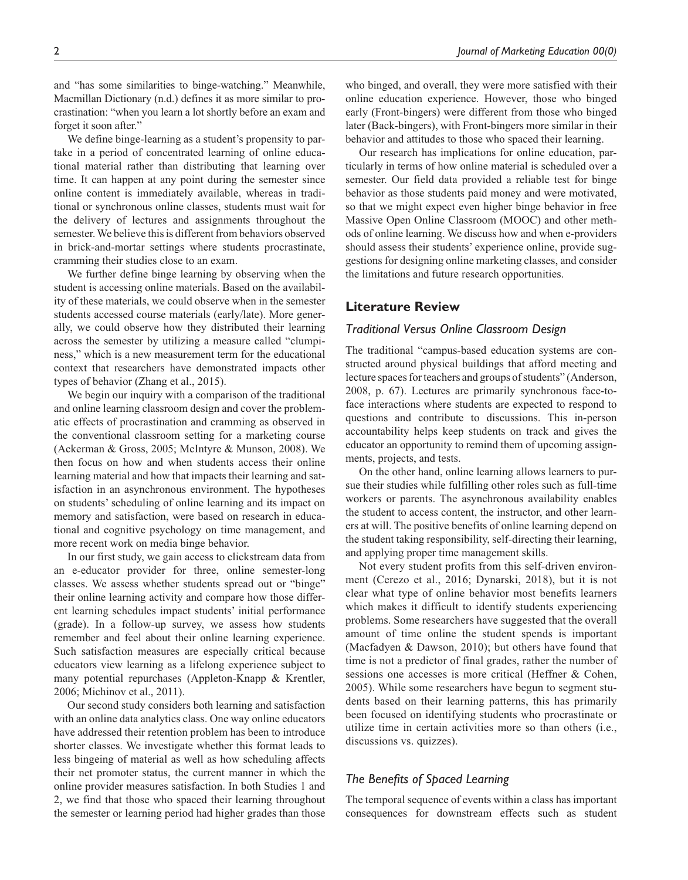and "has some similarities to binge-watching." Meanwhile, Macmillan Dictionary (n.d.) defines it as more similar to procrastination: "when you learn a lot shortly before an exam and forget it soon after."

We define binge-learning as a student's propensity to partake in a period of concentrated learning of online educational material rather than distributing that learning over time. It can happen at any point during the semester since online content is immediately available, whereas in traditional or synchronous online classes, students must wait for the delivery of lectures and assignments throughout the semester. We believe this is different from behaviors observed in brick-and-mortar settings where students procrastinate, cramming their studies close to an exam.

We further define binge learning by observing when the student is accessing online materials. Based on the availability of these materials, we could observe when in the semester students accessed course materials (early/late). More generally, we could observe how they distributed their learning across the semester by utilizing a measure called "clumpiness," which is a new measurement term for the educational context that researchers have demonstrated impacts other types of behavior (Zhang et al., 2015).

We begin our inquiry with a comparison of the traditional and online learning classroom design and cover the problematic effects of procrastination and cramming as observed in the conventional classroom setting for a marketing course (Ackerman & Gross, 2005; McIntyre & Munson, 2008). We then focus on how and when students access their online learning material and how that impacts their learning and satisfaction in an asynchronous environment. The hypotheses on students' scheduling of online learning and its impact on memory and satisfaction, were based on research in educational and cognitive psychology on time management, and more recent work on media binge behavior.

In our first study, we gain access to clickstream data from an e-educator provider for three, online semester-long classes. We assess whether students spread out or "binge" their online learning activity and compare how those different learning schedules impact students' initial performance (grade). In a follow-up survey, we assess how students remember and feel about their online learning experience. Such satisfaction measures are especially critical because educators view learning as a lifelong experience subject to many potential repurchases (Appleton-Knapp & Krentler, 2006; Michinov et al., 2011).

Our second study considers both learning and satisfaction with an online data analytics class. One way online educators have addressed their retention problem has been to introduce shorter classes. We investigate whether this format leads to less bingeing of material as well as how scheduling affects their net promoter status, the current manner in which the online provider measures satisfaction. In both Studies 1 and 2, we find that those who spaced their learning throughout the semester or learning period had higher grades than those

who binged, and overall, they were more satisfied with their online education experience. However, those who binged early (Front-bingers) were different from those who binged later (Back-bingers), with Front-bingers more similar in their behavior and attitudes to those who spaced their learning.

Our research has implications for online education, particularly in terms of how online material is scheduled over a semester. Our field data provided a reliable test for binge behavior as those students paid money and were motivated, so that we might expect even higher binge behavior in free Massive Open Online Classroom (MOOC) and other methods of online learning. We discuss how and when e-providers should assess their students' experience online, provide suggestions for designing online marketing classes, and consider the limitations and future research opportunities.

### **Literature Review**

#### *Traditional Versus Online Classroom Design*

The traditional "campus-based education systems are constructed around physical buildings that afford meeting and lecture spaces for teachers and groups of students" (Anderson, 2008, p. 67). Lectures are primarily synchronous face-toface interactions where students are expected to respond to questions and contribute to discussions. This in-person accountability helps keep students on track and gives the educator an opportunity to remind them of upcoming assignments, projects, and tests.

On the other hand, online learning allows learners to pursue their studies while fulfilling other roles such as full-time workers or parents. The asynchronous availability enables the student to access content, the instructor, and other learners at will. The positive benefits of online learning depend on the student taking responsibility, self-directing their learning, and applying proper time management skills.

Not every student profits from this self-driven environment (Cerezo et al., 2016; Dynarski, 2018), but it is not clear what type of online behavior most benefits learners which makes it difficult to identify students experiencing problems. Some researchers have suggested that the overall amount of time online the student spends is important (Macfadyen & Dawson, 2010); but others have found that time is not a predictor of final grades, rather the number of sessions one accesses is more critical (Heffner & Cohen, 2005). While some researchers have begun to segment students based on their learning patterns, this has primarily been focused on identifying students who procrastinate or utilize time in certain activities more so than others (i.e., discussions vs. quizzes).

### *The Benefits of Spaced Learning*

The temporal sequence of events within a class has important consequences for downstream effects such as student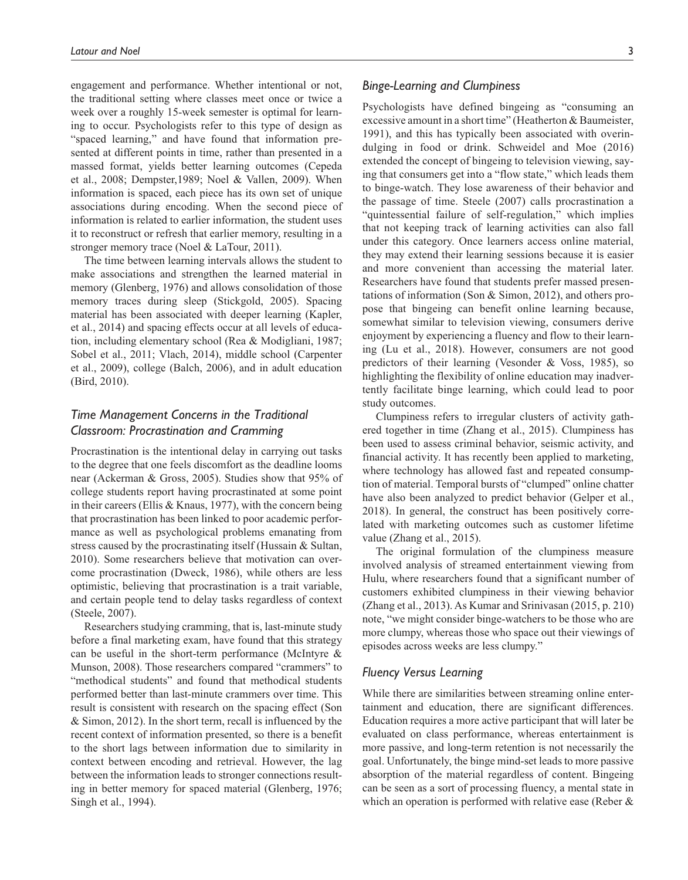engagement and performance. Whether intentional or not, the traditional setting where classes meet once or twice a week over a roughly 15-week semester is optimal for learning to occur. Psychologists refer to this type of design as "spaced learning," and have found that information presented at different points in time, rather than presented in a massed format, yields better learning outcomes (Cepeda et al., 2008; Dempster,1989; Noel & Vallen, 2009). When information is spaced, each piece has its own set of unique associations during encoding. When the second piece of information is related to earlier information, the student uses it to reconstruct or refresh that earlier memory, resulting in a stronger memory trace (Noel & LaTour, 2011).

The time between learning intervals allows the student to make associations and strengthen the learned material in memory (Glenberg, 1976) and allows consolidation of those memory traces during sleep (Stickgold, 2005). Spacing material has been associated with deeper learning (Kapler, et al., 2014) and spacing effects occur at all levels of education, including elementary school (Rea & Modigliani, 1987; Sobel et al., 2011; Vlach, 2014), middle school (Carpenter et al., 2009), college (Balch, 2006), and in adult education (Bird, 2010).

# *Time Management Concerns in the Traditional Classroom: Procrastination and Cramming*

Procrastination is the intentional delay in carrying out tasks to the degree that one feels discomfort as the deadline looms near (Ackerman & Gross, 2005). Studies show that 95% of college students report having procrastinated at some point in their careers (Ellis & Knaus, 1977), with the concern being that procrastination has been linked to poor academic performance as well as psychological problems emanating from stress caused by the procrastinating itself (Hussain & Sultan, 2010). Some researchers believe that motivation can overcome procrastination (Dweck, 1986), while others are less optimistic, believing that procrastination is a trait variable, and certain people tend to delay tasks regardless of context (Steele, 2007).

Researchers studying cramming, that is, last-minute study before a final marketing exam, have found that this strategy can be useful in the short-term performance (McIntyre & Munson, 2008). Those researchers compared "crammers" to "methodical students" and found that methodical students performed better than last-minute crammers over time. This result is consistent with research on the spacing effect (Son & Simon, 2012). In the short term, recall is influenced by the recent context of information presented, so there is a benefit to the short lags between information due to similarity in context between encoding and retrieval. However, the lag between the information leads to stronger connections resulting in better memory for spaced material (Glenberg, 1976; Singh et al., 1994).

### *Binge-Learning and Clumpiness*

Psychologists have defined bingeing as "consuming an excessive amount in a short time" (Heatherton & Baumeister, 1991), and this has typically been associated with overindulging in food or drink. Schweidel and Moe (2016) extended the concept of bingeing to television viewing, saying that consumers get into a "flow state," which leads them to binge-watch. They lose awareness of their behavior and the passage of time. Steele (2007) calls procrastination a "quintessential failure of self-regulation," which implies that not keeping track of learning activities can also fall under this category. Once learners access online material, they may extend their learning sessions because it is easier and more convenient than accessing the material later. Researchers have found that students prefer massed presentations of information (Son & Simon, 2012), and others propose that bingeing can benefit online learning because, somewhat similar to television viewing, consumers derive enjoyment by experiencing a fluency and flow to their learning (Lu et al., 2018). However, consumers are not good predictors of their learning (Vesonder & Voss, 1985), so highlighting the flexibility of online education may inadvertently facilitate binge learning, which could lead to poor study outcomes.

Clumpiness refers to irregular clusters of activity gathered together in time (Zhang et al., 2015). Clumpiness has been used to assess criminal behavior, seismic activity, and financial activity. It has recently been applied to marketing, where technology has allowed fast and repeated consumption of material. Temporal bursts of "clumped" online chatter have also been analyzed to predict behavior (Gelper et al., 2018). In general, the construct has been positively correlated with marketing outcomes such as customer lifetime value (Zhang et al., 2015).

The original formulation of the clumpiness measure involved analysis of streamed entertainment viewing from Hulu, where researchers found that a significant number of customers exhibited clumpiness in their viewing behavior (Zhang et al., 2013). As Kumar and Srinivasan (2015, p. 210) note, "we might consider binge-watchers to be those who are more clumpy, whereas those who space out their viewings of episodes across weeks are less clumpy."

# *Fluency Versus Learning*

While there are similarities between streaming online entertainment and education, there are significant differences. Education requires a more active participant that will later be evaluated on class performance, whereas entertainment is more passive, and long-term retention is not necessarily the goal. Unfortunately, the binge mind-set leads to more passive absorption of the material regardless of content. Bingeing can be seen as a sort of processing fluency, a mental state in which an operation is performed with relative ease (Reber &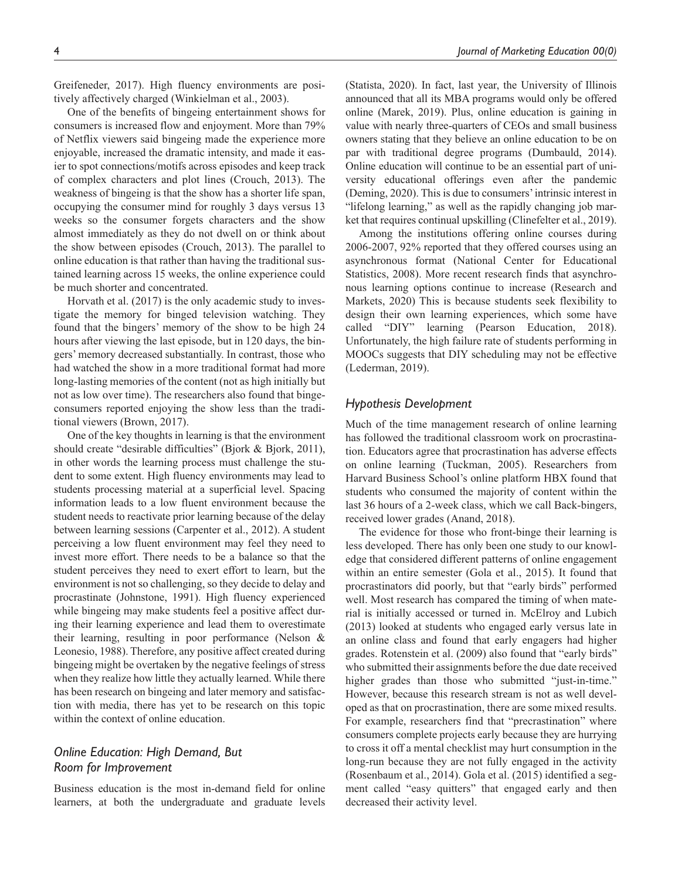Greifeneder, 2017). High fluency environments are positively affectively charged (Winkielman et al., 2003).

One of the benefits of bingeing entertainment shows for consumers is increased flow and enjoyment. More than 79% of Netflix viewers said bingeing made the experience more enjoyable, increased the dramatic intensity, and made it easier to spot connections/motifs across episodes and keep track of complex characters and plot lines (Crouch, 2013). The weakness of bingeing is that the show has a shorter life span, occupying the consumer mind for roughly 3 days versus 13 weeks so the consumer forgets characters and the show almost immediately as they do not dwell on or think about the show between episodes (Crouch, 2013). The parallel to online education is that rather than having the traditional sustained learning across 15 weeks, the online experience could be much shorter and concentrated.

Horvath et al. (2017) is the only academic study to investigate the memory for binged television watching. They found that the bingers' memory of the show to be high 24 hours after viewing the last episode, but in 120 days, the bingers' memory decreased substantially. In contrast, those who had watched the show in a more traditional format had more long-lasting memories of the content (not as high initially but not as low over time). The researchers also found that bingeconsumers reported enjoying the show less than the traditional viewers (Brown, 2017).

One of the key thoughts in learning is that the environment should create "desirable difficulties" (Bjork & Bjork, 2011), in other words the learning process must challenge the student to some extent. High fluency environments may lead to students processing material at a superficial level. Spacing information leads to a low fluent environment because the student needs to reactivate prior learning because of the delay between learning sessions (Carpenter et al., 2012). A student perceiving a low fluent environment may feel they need to invest more effort. There needs to be a balance so that the student perceives they need to exert effort to learn, but the environment is not so challenging, so they decide to delay and procrastinate (Johnstone, 1991). High fluency experienced while bingeing may make students feel a positive affect during their learning experience and lead them to overestimate their learning, resulting in poor performance (Nelson & Leonesio, 1988). Therefore, any positive affect created during bingeing might be overtaken by the negative feelings of stress when they realize how little they actually learned. While there has been research on bingeing and later memory and satisfaction with media, there has yet to be research on this topic within the context of online education.

# *Online Education: High Demand, But Room for Improvement*

Business education is the most in-demand field for online learners, at both the undergraduate and graduate levels (Statista, 2020). In fact, last year, the University of Illinois announced that all its MBA programs would only be offered online (Marek, 2019). Plus, online education is gaining in value with nearly three-quarters of CEOs and small business owners stating that they believe an online education to be on par with traditional degree programs (Dumbauld, 2014). Online education will continue to be an essential part of university educational offerings even after the pandemic (Deming, 2020). This is due to consumers' intrinsic interest in "lifelong learning," as well as the rapidly changing job market that requires continual upskilling (Clinefelter et al., 2019).

Among the institutions offering online courses during 2006-2007, 92% reported that they offered courses using an asynchronous format (National Center for Educational Statistics, 2008). More recent research finds that asynchronous learning options continue to increase (Research and Markets, 2020) This is because students seek flexibility to design their own learning experiences, which some have called "DIY" learning (Pearson Education, 2018). Unfortunately, the high failure rate of students performing in MOOCs suggests that DIY scheduling may not be effective (Lederman, 2019).

#### *Hypothesis Development*

Much of the time management research of online learning has followed the traditional classroom work on procrastination. Educators agree that procrastination has adverse effects on online learning (Tuckman, 2005). Researchers from Harvard Business School's online platform HBX found that students who consumed the majority of content within the last 36 hours of a 2-week class, which we call Back-bingers, received lower grades (Anand, 2018).

The evidence for those who front-binge their learning is less developed. There has only been one study to our knowledge that considered different patterns of online engagement within an entire semester (Gola et al., 2015). It found that procrastinators did poorly, but that "early birds" performed well. Most research has compared the timing of when material is initially accessed or turned in. McElroy and Lubich (2013) looked at students who engaged early versus late in an online class and found that early engagers had higher grades. Rotenstein et al. (2009) also found that "early birds" who submitted their assignments before the due date received higher grades than those who submitted "just-in-time." However, because this research stream is not as well developed as that on procrastination, there are some mixed results. For example, researchers find that "precrastination" where consumers complete projects early because they are hurrying to cross it off a mental checklist may hurt consumption in the long-run because they are not fully engaged in the activity (Rosenbaum et al., 2014). Gola et al. (2015) identified a segment called "easy quitters" that engaged early and then decreased their activity level.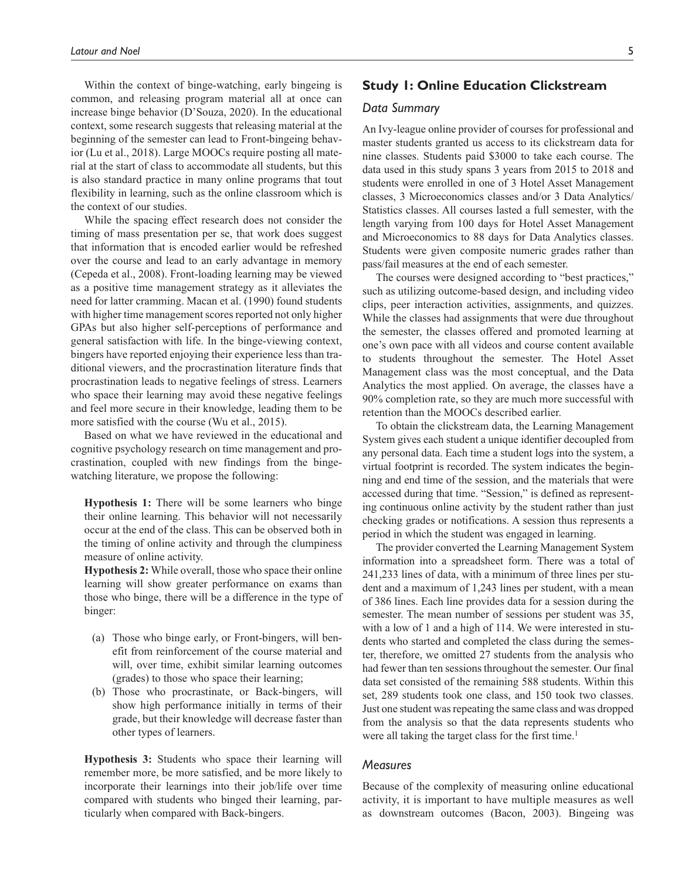Within the context of binge-watching, early bingeing is common, and releasing program material all at once can increase binge behavior (D'Souza, 2020). In the educational context, some research suggests that releasing material at the beginning of the semester can lead to Front-bingeing behavior (Lu et al., 2018). Large MOOCs require posting all material at the start of class to accommodate all students, but this is also standard practice in many online programs that tout flexibility in learning, such as the online classroom which is the context of our studies.

While the spacing effect research does not consider the timing of mass presentation per se, that work does suggest that information that is encoded earlier would be refreshed over the course and lead to an early advantage in memory (Cepeda et al., 2008). Front-loading learning may be viewed as a positive time management strategy as it alleviates the need for latter cramming. Macan et al. (1990) found students with higher time management scores reported not only higher GPAs but also higher self-perceptions of performance and general satisfaction with life. In the binge-viewing context, bingers have reported enjoying their experience less than traditional viewers, and the procrastination literature finds that procrastination leads to negative feelings of stress. Learners who space their learning may avoid these negative feelings and feel more secure in their knowledge, leading them to be more satisfied with the course (Wu et al., 2015).

Based on what we have reviewed in the educational and cognitive psychology research on time management and procrastination, coupled with new findings from the bingewatching literature, we propose the following:

**Hypothesis 1:** There will be some learners who binge their online learning. This behavior will not necessarily occur at the end of the class. This can be observed both in the timing of online activity and through the clumpiness measure of online activity.

**Hypothesis 2:** While overall, those who space their online learning will show greater performance on exams than those who binge, there will be a difference in the type of binger:

- (a) Those who binge early, or Front-bingers, will benefit from reinforcement of the course material and will, over time, exhibit similar learning outcomes (grades) to those who space their learning;
- (b) Those who procrastinate, or Back-bingers, will show high performance initially in terms of their grade, but their knowledge will decrease faster than other types of learners.

**Hypothesis 3:** Students who space their learning will remember more, be more satisfied, and be more likely to incorporate their learnings into their job/life over time compared with students who binged their learning, particularly when compared with Back-bingers.

# **Study 1: Online Education Clickstream**

### *Data Summary*

An Ivy-league online provider of courses for professional and master students granted us access to its clickstream data for nine classes. Students paid \$3000 to take each course. The data used in this study spans 3 years from 2015 to 2018 and students were enrolled in one of 3 Hotel Asset Management classes, 3 Microeconomics classes and/or 3 Data Analytics/ Statistics classes. All courses lasted a full semester, with the length varying from 100 days for Hotel Asset Management and Microeconomics to 88 days for Data Analytics classes. Students were given composite numeric grades rather than pass/fail measures at the end of each semester.

The courses were designed according to "best practices," such as utilizing outcome-based design, and including video clips, peer interaction activities, assignments, and quizzes. While the classes had assignments that were due throughout the semester, the classes offered and promoted learning at one's own pace with all videos and course content available to students throughout the semester. The Hotel Asset Management class was the most conceptual, and the Data Analytics the most applied. On average, the classes have a 90% completion rate, so they are much more successful with retention than the MOOCs described earlier.

To obtain the clickstream data, the Learning Management System gives each student a unique identifier decoupled from any personal data. Each time a student logs into the system, a virtual footprint is recorded. The system indicates the beginning and end time of the session, and the materials that were accessed during that time. "Session," is defined as representing continuous online activity by the student rather than just checking grades or notifications. A session thus represents a period in which the student was engaged in learning.

The provider converted the Learning Management System information into a spreadsheet form. There was a total of 241,233 lines of data, with a minimum of three lines per student and a maximum of 1,243 lines per student, with a mean of 386 lines. Each line provides data for a session during the semester. The mean number of sessions per student was 35, with a low of 1 and a high of 114. We were interested in students who started and completed the class during the semester, therefore, we omitted 27 students from the analysis who had fewer than ten sessions throughout the semester. Our final data set consisted of the remaining 588 students. Within this set, 289 students took one class, and 150 took two classes. Just one student was repeating the same class and was dropped from the analysis so that the data represents students who were all taking the target class for the first time.<sup>1</sup>

#### *Measures*

Because of the complexity of measuring online educational activity, it is important to have multiple measures as well as downstream outcomes (Bacon, 2003). Bingeing was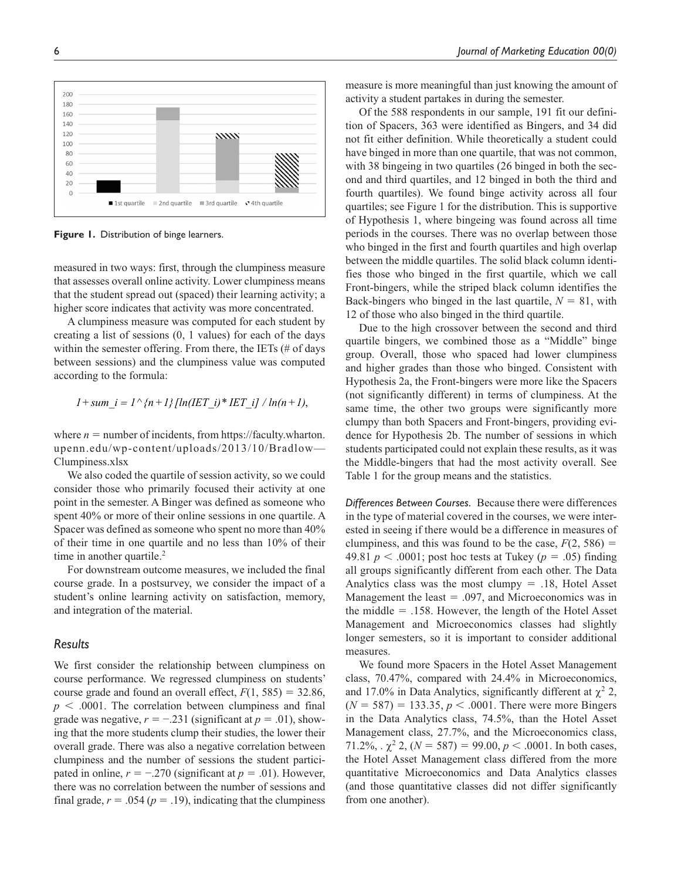

**Figure 1.** Distribution of binge learners.

measured in two ways: first, through the clumpiness measure that assesses overall online activity. Lower clumpiness means that the student spread out (spaced) their learning activity; a higher score indicates that activity was more concentrated.

A clumpiness measure was computed for each student by creating a list of sessions (0, 1 values) for each of the days within the semester offering. From there, the IETs (# of days between sessions) and the clumpiness value was computed according to the formula:

$$
1+sum_i = 1 \land \{n+1\} [ln(IET_i)*IET_i] / ln(n+1),
$$

where  $n =$  number of incidents, from https://faculty.wharton. upenn.edu/wp-content/uploads/2013/10/Bradlow— Clumpiness.xlsx

We also coded the quartile of session activity, so we could consider those who primarily focused their activity at one point in the semester. A Binger was defined as someone who spent 40% or more of their online sessions in one quartile. A Spacer was defined as someone who spent no more than 40% of their time in one quartile and no less than 10% of their time in another quartile.<sup>2</sup>

For downstream outcome measures, we included the final course grade. In a postsurvey, we consider the impact of a student's online learning activity on satisfaction, memory, and integration of the material.

#### *Results*

We first consider the relationship between clumpiness on course performance. We regressed clumpiness on students' course grade and found an overall effect,  $F(1, 585) = 32.86$ ,  $p \leq 0.0001$ . The correlation between clumpiness and final grade was negative,  $r = -.231$  (significant at  $p = .01$ ), showing that the more students clump their studies, the lower their overall grade. There was also a negative correlation between clumpiness and the number of sessions the student participated in online,  $r = -0.270$  (significant at  $p = 0.01$ ). However, there was no correlation between the number of sessions and final grade,  $r = .054$  ( $p = .19$ ), indicating that the clumpiness

measure is more meaningful than just knowing the amount of activity a student partakes in during the semester.

Of the 588 respondents in our sample, 191 fit our definition of Spacers, 363 were identified as Bingers, and 34 did not fit either definition. While theoretically a student could have binged in more than one quartile, that was not common, with 38 bingeing in two quartiles (26 binged in both the second and third quartiles, and 12 binged in both the third and fourth quartiles). We found binge activity across all four quartiles; see Figure 1 for the distribution. This is supportive of Hypothesis 1, where bingeing was found across all time periods in the courses. There was no overlap between those who binged in the first and fourth quartiles and high overlap between the middle quartiles. The solid black column identifies those who binged in the first quartile, which we call Front-bingers, while the striped black column identifies the Back-bingers who binged in the last quartile,  $N = 81$ , with 12 of those who also binged in the third quartile.

Due to the high crossover between the second and third quartile bingers, we combined those as a "Middle" binge group. Overall, those who spaced had lower clumpiness and higher grades than those who binged. Consistent with Hypothesis 2a, the Front-bingers were more like the Spacers (not significantly different) in terms of clumpiness. At the same time, the other two groups were significantly more clumpy than both Spacers and Front-bingers, providing evidence for Hypothesis 2b. The number of sessions in which students participated could not explain these results, as it was the Middle-bingers that had the most activity overall. See Table 1 for the group means and the statistics.

*Differences Between Courses.* Because there were differences in the type of material covered in the courses, we were interested in seeing if there would be a difference in measures of clumpiness, and this was found to be the case,  $F(2, 586) =$ 49.81  $p < .0001$ ; post hoc tests at Tukey ( $p = .05$ ) finding all groups significantly different from each other. The Data Analytics class was the most clumpy  $= .18$ , Hotel Asset Management the least  $= .097$ , and Microeconomics was in the middle  $=$  .158. However, the length of the Hotel Asset Management and Microeconomics classes had slightly longer semesters, so it is important to consider additional measures.

We found more Spacers in the Hotel Asset Management class, 70.47%, compared with 24.4% in Microeconomics, and 17.0% in Data Analytics, significantly different at  $\chi^2$  2,  $(N = 587) = 133.35, p < .0001$ . There were more Bingers in the Data Analytics class, 74.5%, than the Hotel Asset Management class, 27.7%, and the Microeconomics class, 71.2%,  $\chi^2$  2, ( $N = 587$ ) = 99.00,  $p < .0001$ . In both cases, the Hotel Asset Management class differed from the more quantitative Microeconomics and Data Analytics classes (and those quantitative classes did not differ significantly from one another).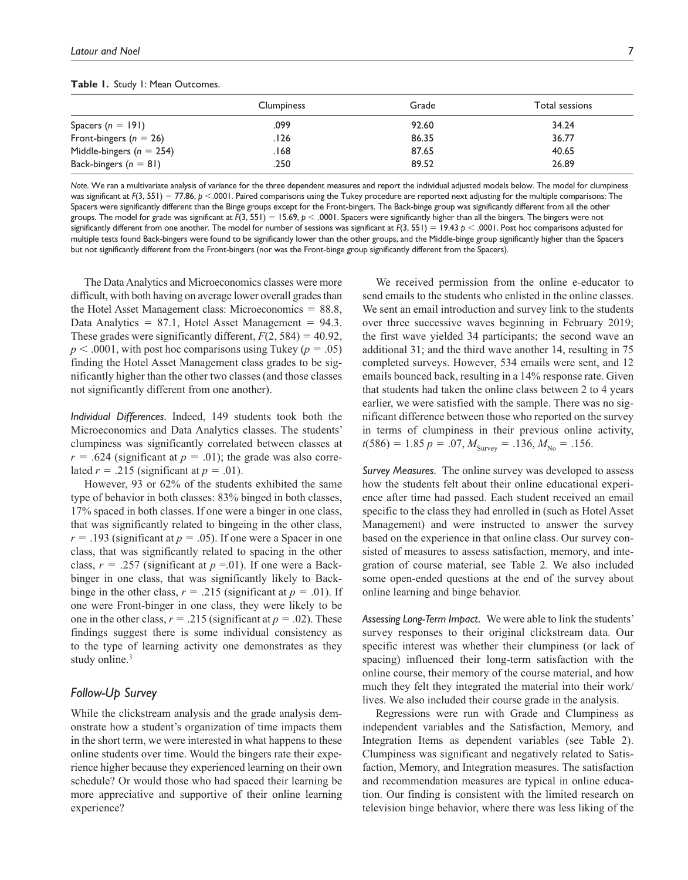|                              | <b>Clumpiness</b> | Grade | Total sessions |
|------------------------------|-------------------|-------|----------------|
| Spacers $(n = 191)$          | .099              | 92.60 | 34.24          |
| Front-bingers ( $n = 26$ )   | . I 26            | 86.35 | 36.77          |
| Middle-bingers ( $n = 254$ ) | . 168             | 87.65 | 40.65          |
| Back-bingers $(n = 81)$      | .250              | 89.52 | 26.89          |

#### **Table 1.** Study 1: Mean Outcomes.

*Note*. We ran a multivariate analysis of variance for the three dependent measures and report the individual adjusted models below. The model for clumpiness was significant at  $F(3, 551) = 77.86$ ,  $p \le 0.001$ . Paired comparisons using the Tukey procedure are reported next adjusting for the multiple comparisons: The Spacers were significantly different than the Binge groups except for the Front-bingers. The Back-binge group was significantly different from all the other groups. The model for grade was significant at  $F(3, 551) = 15.69$ ,  $p < .0001$ . Spacers were significantly higher than all the bingers. The bingers were not significantly different from one another. The model for number of sessions was significant at *F*(3, 551) = 19.43 *p* < .0001. Post hoc comparisons adjusted for multiple tests found Back-bingers were found to be significantly lower than the other groups, and the Middle-binge group significantly higher than the Spacers but not significantly different from the Front-bingers (nor was the Front-binge group significantly different from the Spacers).

The Data Analytics and Microeconomics classes were more difficult, with both having on average lower overall grades than the Hotel Asset Management class: Microeconomics = 88.8, Data Analytics  $= 87.1$ , Hotel Asset Management  $= 94.3$ . These grades were significantly different,  $F(2, 584) = 40.92$ ,  $p < .0001$ , with post hoc comparisons using Tukey ( $p = .05$ ) finding the Hotel Asset Management class grades to be significantly higher than the other two classes (and those classes not significantly different from one another).

*Individual Differences.* Indeed, 149 students took both the Microeconomics and Data Analytics classes. The students' clumpiness was significantly correlated between classes at  $r = .624$  (significant at  $p = .01$ ); the grade was also correlated  $r = .215$  (significant at  $p = .01$ ).

However, 93 or 62% of the students exhibited the same type of behavior in both classes: 83% binged in both classes, 17% spaced in both classes. If one were a binger in one class, that was significantly related to bingeing in the other class,  $r = .193$  (significant at  $p = .05$ ). If one were a Spacer in one class, that was significantly related to spacing in the other class,  $r = .257$  (significant at  $p = .01$ ). If one were a Backbinger in one class, that was significantly likely to Backbinge in the other class,  $r = .215$  (significant at  $p = .01$ ). If one were Front-binger in one class, they were likely to be one in the other class,  $r = .215$  (significant at  $p = .02$ ). These findings suggest there is some individual consistency as to the type of learning activity one demonstrates as they study online.<sup>3</sup>

## *Follow-Up Survey*

While the clickstream analysis and the grade analysis demonstrate how a student's organization of time impacts them in the short term, we were interested in what happens to these online students over time. Would the bingers rate their experience higher because they experienced learning on their own schedule? Or would those who had spaced their learning be more appreciative and supportive of their online learning experience?

We received permission from the online e-educator to send emails to the students who enlisted in the online classes. We sent an email introduction and survey link to the students over three successive waves beginning in February 2019; the first wave yielded 34 participants; the second wave an additional 31; and the third wave another 14, resulting in 75 completed surveys. However, 534 emails were sent, and 12 emails bounced back, resulting in a 14% response rate. Given that students had taken the online class between 2 to 4 years earlier, we were satisfied with the sample. There was no significant difference between those who reported on the survey in terms of clumpiness in their previous online activity,  $t(586) = 1.85 p = .07, M_{\text{Surve}} = .136, M_{\text{No}} = .156.$ 

*Survey Measures.* The online survey was developed to assess how the students felt about their online educational experience after time had passed. Each student received an email specific to the class they had enrolled in (such as Hotel Asset Management) and were instructed to answer the survey based on the experience in that online class. Our survey consisted of measures to assess satisfaction, memory, and integration of course material, see Table 2. We also included some open-ended questions at the end of the survey about online learning and binge behavior.

*Assessing Long-Term Impact.* We were able to link the students' survey responses to their original clickstream data. Our specific interest was whether their clumpiness (or lack of spacing) influenced their long-term satisfaction with the online course, their memory of the course material, and how much they felt they integrated the material into their work/ lives. We also included their course grade in the analysis.

Regressions were run with Grade and Clumpiness as independent variables and the Satisfaction, Memory, and Integration Items as dependent variables (see Table 2). Clumpiness was significant and negatively related to Satisfaction, Memory, and Integration measures. The satisfaction and recommendation measures are typical in online education. Our finding is consistent with the limited research on television binge behavior, where there was less liking of the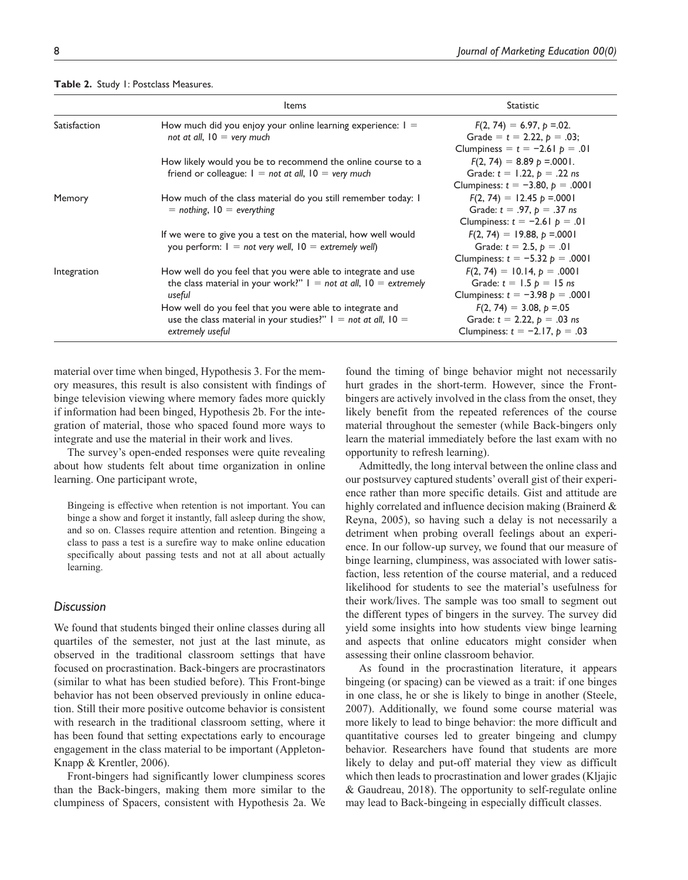|              | Items                                                                                                                                             | <b>Statistic</b>                                                                                           |
|--------------|---------------------------------------------------------------------------------------------------------------------------------------------------|------------------------------------------------------------------------------------------------------------|
| Satisfaction | How much did you enjoy your online learning experience: $I =$<br>not at all, $10 =$ very much                                                     | $F(2, 74) = 6.97, p = 0.02$ .<br>Grade = $t = 2.22$ , $p = .03$ ;<br>Clumpiness = $t = -2.61$ $p = .01$    |
|              | How likely would you be to recommend the online course to a<br>friend or colleague: $I = not$ at all, $I0 = very$ much                            | $F(2, 74) = 8.89 p = .0001$ .<br>Grade: $t = 1.22$ , $p = .22$ ns<br>Clumpiness: $t = -3.80$ , $p = .0001$ |
| Memory       | How much of the class material do you still remember today: I<br>$=$ nothing, $10 =$ everything                                                   | $F(2, 74) = 12.45 p = .0001$<br>Grade: $t = .97$ , $p = .37$ ns<br>Clumpiness: $t = -2.61$ $p = .01$       |
|              | If we were to give you a test on the material, how well would<br>you perform: $I = not$ very well, $IO =$ extremely well)                         | $F(2, 74) = 19.88, p = .0001$<br>Grade: $t = 2.5$ , $p = .01$<br>Clumpiness: $t = -5.32 p = .0001$         |
| Integration  | How well do you feel that you were able to integrate and use<br>the class material in your work?" $I = not$ at all, $IO =$ extremely<br>useful    | $F(2, 74) = 10.14, p = .0001$<br>Grade: $t = 1.5 p = 15 ns$<br>Clumpiness: $t = -3.98 p = .0001$           |
|              | How well do you feel that you were able to integrate and<br>use the class material in your studies?" $I = not$ at all, $I0 =$<br>extremely useful | $F(2, 74) = 3.08, p = 0.05$<br>Grade: $t = 2.22$ , $p = .03$ ns<br>Clumpiness: $t = -2.17$ , $p = .03$     |

#### **Table 2.** Study 1: Postclass Measures.

material over time when binged, Hypothesis 3. For the memory measures, this result is also consistent with findings of binge television viewing where memory fades more quickly if information had been binged, Hypothesis 2b. For the integration of material, those who spaced found more ways to integrate and use the material in their work and lives.

The survey's open-ended responses were quite revealing about how students felt about time organization in online learning. One participant wrote,

Bingeing is effective when retention is not important. You can binge a show and forget it instantly, fall asleep during the show, and so on. Classes require attention and retention. Bingeing a class to pass a test is a surefire way to make online education specifically about passing tests and not at all about actually learning.

#### *Discussion*

We found that students binged their online classes during all quartiles of the semester, not just at the last minute, as observed in the traditional classroom settings that have focused on procrastination. Back-bingers are procrastinators (similar to what has been studied before). This Front-binge behavior has not been observed previously in online education. Still their more positive outcome behavior is consistent with research in the traditional classroom setting, where it has been found that setting expectations early to encourage engagement in the class material to be important (Appleton-Knapp & Krentler, 2006).

Front-bingers had significantly lower clumpiness scores than the Back-bingers, making them more similar to the clumpiness of Spacers, consistent with Hypothesis 2a. We

found the timing of binge behavior might not necessarily hurt grades in the short-term. However, since the Frontbingers are actively involved in the class from the onset, they likely benefit from the repeated references of the course material throughout the semester (while Back-bingers only learn the material immediately before the last exam with no opportunity to refresh learning).

Admittedly, the long interval between the online class and our postsurvey captured students' overall gist of their experience rather than more specific details. Gist and attitude are highly correlated and influence decision making (Brainerd & Reyna, 2005), so having such a delay is not necessarily a detriment when probing overall feelings about an experience. In our follow-up survey, we found that our measure of binge learning, clumpiness, was associated with lower satisfaction, less retention of the course material, and a reduced likelihood for students to see the material's usefulness for their work/lives. The sample was too small to segment out the different types of bingers in the survey. The survey did yield some insights into how students view binge learning and aspects that online educators might consider when assessing their online classroom behavior.

As found in the procrastination literature, it appears bingeing (or spacing) can be viewed as a trait: if one binges in one class, he or she is likely to binge in another (Steele, 2007). Additionally, we found some course material was more likely to lead to binge behavior: the more difficult and quantitative courses led to greater bingeing and clumpy behavior. Researchers have found that students are more likely to delay and put-off material they view as difficult which then leads to procrastination and lower grades (Kljajic & Gaudreau, 2018). The opportunity to self-regulate online may lead to Back-bingeing in especially difficult classes.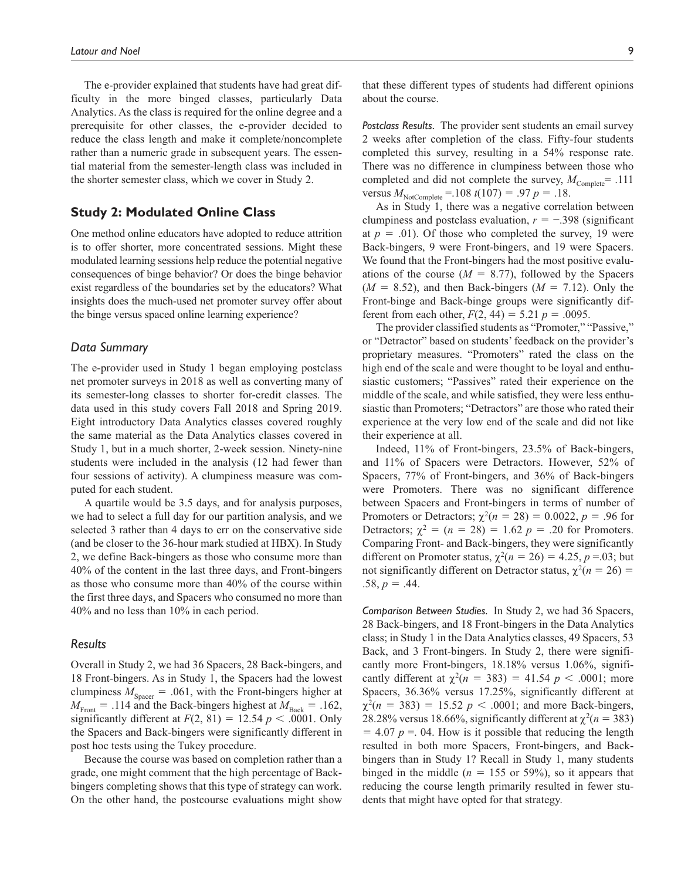The e-provider explained that students have had great difficulty in the more binged classes, particularly Data Analytics. As the class is required for the online degree and a prerequisite for other classes, the e-provider decided to reduce the class length and make it complete/noncomplete rather than a numeric grade in subsequent years. The essential material from the semester-length class was included in the shorter semester class, which we cover in Study 2.

#### **Study 2: Modulated Online Class**

One method online educators have adopted to reduce attrition is to offer shorter, more concentrated sessions. Might these modulated learning sessions help reduce the potential negative consequences of binge behavior? Or does the binge behavior exist regardless of the boundaries set by the educators? What insights does the much-used net promoter survey offer about the binge versus spaced online learning experience?

# *Data Summary*

The e-provider used in Study 1 began employing postclass net promoter surveys in 2018 as well as converting many of its semester-long classes to shorter for-credit classes. The data used in this study covers Fall 2018 and Spring 2019. Eight introductory Data Analytics classes covered roughly the same material as the Data Analytics classes covered in Study 1, but in a much shorter, 2-week session. Ninety-nine students were included in the analysis (12 had fewer than four sessions of activity). A clumpiness measure was computed for each student.

A quartile would be 3.5 days, and for analysis purposes, we had to select a full day for our partition analysis, and we selected 3 rather than 4 days to err on the conservative side (and be closer to the 36-hour mark studied at HBX). In Study 2, we define Back-bingers as those who consume more than 40% of the content in the last three days, and Front-bingers as those who consume more than 40% of the course within the first three days, and Spacers who consumed no more than 40% and no less than 10% in each period.

#### *Results*

Overall in Study 2, we had 36 Spacers, 28 Back-bingers, and 18 Front-bingers. As in Study 1, the Spacers had the lowest clumpiness  $M_{Space} = .061$ , with the Front-bingers higher at  $M_{\text{Front}} = .114$  and the Back-bingers highest at  $M_{\text{Back}} = .162$ , significantly different at  $F(2, 81) = 12.54$   $p < .0001$ . Only the Spacers and Back-bingers were significantly different in post hoc tests using the Tukey procedure.

Because the course was based on completion rather than a grade, one might comment that the high percentage of Backbingers completing shows that this type of strategy can work. On the other hand, the postcourse evaluations might show that these different types of students had different opinions about the course.

*Postclass Results.* The provider sent students an email survey 2 weeks after completion of the class. Fifty-four students completed this survey, resulting in a 54% response rate. There was no difference in clumpiness between those who completed and did not complete the survey,  $M_{\text{Complete}} = .111$ versus  $M_{\text{NotComplete}} = 108 \ t(107) = .97 \ p = .18.$ 

As in Study 1, there was a negative correlation between clumpiness and postclass evaluation,  $r = -.398$  (significant at  $p = .01$ ). Of those who completed the survey, 19 were Back-bingers, 9 were Front-bingers, and 19 were Spacers. We found that the Front-bingers had the most positive evaluations of the course  $(M = 8.77)$ , followed by the Spacers  $(M = 8.52)$ , and then Back-bingers  $(M = 7.12)$ . Only the Front-binge and Back-binge groups were significantly different from each other,  $F(2, 44) = 5.21 p = .0095$ .

The provider classified students as "Promoter," "Passive," or "Detractor" based on students' feedback on the provider's proprietary measures. "Promoters" rated the class on the high end of the scale and were thought to be loyal and enthusiastic customers; "Passives" rated their experience on the middle of the scale, and while satisfied, they were less enthusiastic than Promoters; "Detractors" are those who rated their experience at the very low end of the scale and did not like their experience at all.

Indeed, 11% of Front-bingers, 23.5% of Back-bingers, and 11% of Spacers were Detractors. However, 52% of Spacers, 77% of Front-bingers, and 36% of Back-bingers were Promoters. There was no significant difference between Spacers and Front-bingers in terms of number of Promoters or Detractors;  $\chi^2(n = 28) = 0.0022$ ,  $p = .96$  for Detractors;  $\chi^2 = (n = 28) = 1.62 \, p = .20$  for Promoters. Comparing Front- and Back-bingers, they were significantly different on Promoter status,  $\chi^2(n = 26) = 4.25$ ,  $p = .03$ ; but not significantly different on Detractor status,  $\chi^2(n = 26)$  =  $.58, p = .44.$ 

*Comparison Between Studies.* In Study 2, we had 36 Spacers, 28 Back-bingers, and 18 Front-bingers in the Data Analytics class; in Study 1 in the Data Analytics classes, 49 Spacers, 53 Back, and 3 Front-bingers. In Study 2, there were significantly more Front-bingers, 18.18% versus 1.06%, significantly different at  $\chi^2(n = 383) = 41.54 \, p < .0001$ ; more Spacers, 36.36% versus 17.25%, significantly different at  $\chi^2(n = 383) = 15.52 \, p < .0001$ ; and more Back-bingers, 28.28% versus 18.66%, significantly different at  $\chi^2(n = 383)$  $= 4.07$   $p = 0.04$ . How is it possible that reducing the length resulted in both more Spacers, Front-bingers, and Backbingers than in Study 1? Recall in Study 1, many students binged in the middle ( $n = 155$  or 59%), so it appears that reducing the course length primarily resulted in fewer students that might have opted for that strategy.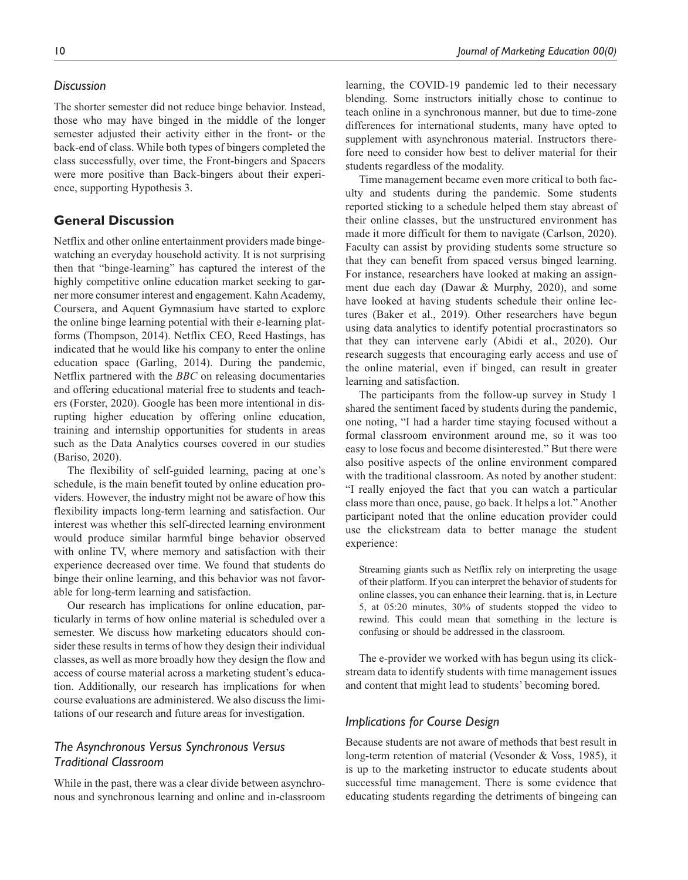### *Discussion*

The shorter semester did not reduce binge behavior. Instead, those who may have binged in the middle of the longer semester adjusted their activity either in the front- or the back-end of class. While both types of bingers completed the class successfully, over time, the Front-bingers and Spacers were more positive than Back-bingers about their experience, supporting Hypothesis 3.

# **General Discussion**

Netflix and other online entertainment providers made bingewatching an everyday household activity. It is not surprising then that "binge-learning" has captured the interest of the highly competitive online education market seeking to garner more consumer interest and engagement. Kahn Academy, Coursera, and Aquent Gymnasium have started to explore the online binge learning potential with their e-learning platforms (Thompson, 2014). Netflix CEO, Reed Hastings, has indicated that he would like his company to enter the online education space (Garling, 2014). During the pandemic, Netflix partnered with the *BBC* on releasing documentaries and offering educational material free to students and teachers (Forster, 2020). Google has been more intentional in disrupting higher education by offering online education, training and internship opportunities for students in areas such as the Data Analytics courses covered in our studies (Bariso, 2020).

The flexibility of self-guided learning, pacing at one's schedule, is the main benefit touted by online education providers. However, the industry might not be aware of how this flexibility impacts long-term learning and satisfaction. Our interest was whether this self-directed learning environment would produce similar harmful binge behavior observed with online TV, where memory and satisfaction with their experience decreased over time. We found that students do binge their online learning, and this behavior was not favorable for long-term learning and satisfaction.

Our research has implications for online education, particularly in terms of how online material is scheduled over a semester. We discuss how marketing educators should consider these results in terms of how they design their individual classes, as well as more broadly how they design the flow and access of course material across a marketing student's education. Additionally, our research has implications for when course evaluations are administered. We also discuss the limitations of our research and future areas for investigation.

# *The Asynchronous Versus Synchronous Versus Traditional Classroom*

While in the past, there was a clear divide between asynchronous and synchronous learning and online and in-classroom learning, the COVID-19 pandemic led to their necessary blending. Some instructors initially chose to continue to teach online in a synchronous manner, but due to time-zone differences for international students, many have opted to supplement with asynchronous material. Instructors therefore need to consider how best to deliver material for their students regardless of the modality.

Time management became even more critical to both faculty and students during the pandemic. Some students reported sticking to a schedule helped them stay abreast of their online classes, but the unstructured environment has made it more difficult for them to navigate (Carlson, 2020). Faculty can assist by providing students some structure so that they can benefit from spaced versus binged learning. For instance, researchers have looked at making an assignment due each day (Dawar & Murphy, 2020), and some have looked at having students schedule their online lectures (Baker et al., 2019). Other researchers have begun using data analytics to identify potential procrastinators so that they can intervene early (Abidi et al., 2020). Our research suggests that encouraging early access and use of the online material, even if binged, can result in greater learning and satisfaction.

The participants from the follow-up survey in Study 1 shared the sentiment faced by students during the pandemic, one noting, "I had a harder time staying focused without a formal classroom environment around me, so it was too easy to lose focus and become disinterested." But there were also positive aspects of the online environment compared with the traditional classroom. As noted by another student: "I really enjoyed the fact that you can watch a particular class more than once, pause, go back. It helps a lot." Another participant noted that the online education provider could use the clickstream data to better manage the student experience:

Streaming giants such as Netflix rely on interpreting the usage of their platform. If you can interpret the behavior of students for online classes, you can enhance their learning. that is, in Lecture 5, at 05:20 minutes, 30% of students stopped the video to rewind. This could mean that something in the lecture is confusing or should be addressed in the classroom.

The e-provider we worked with has begun using its clickstream data to identify students with time management issues and content that might lead to students' becoming bored.

### *Implications for Course Design*

Because students are not aware of methods that best result in long-term retention of material (Vesonder & Voss, 1985), it is up to the marketing instructor to educate students about successful time management. There is some evidence that educating students regarding the detriments of bingeing can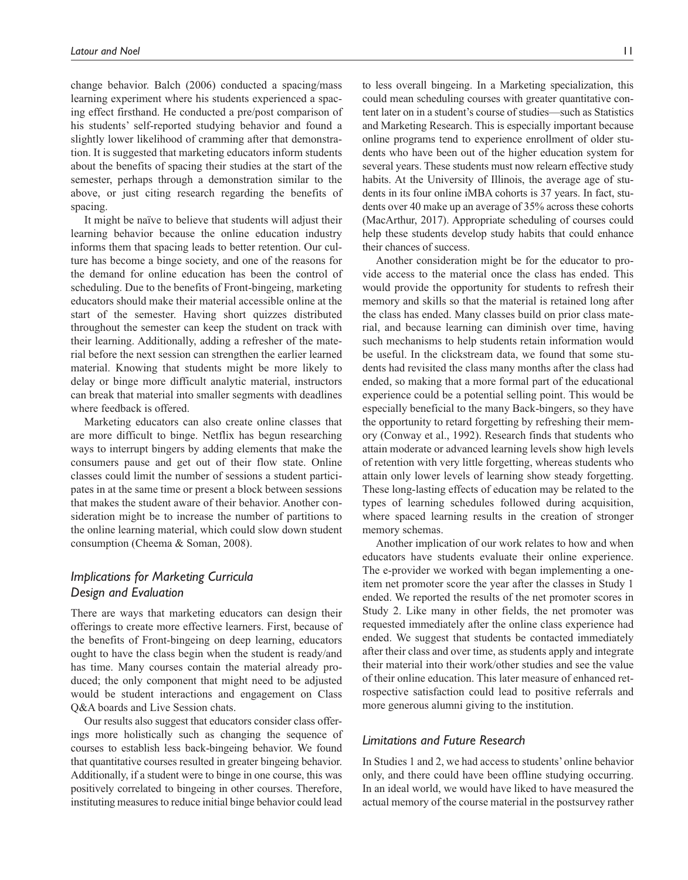change behavior. Balch (2006) conducted a spacing/mass learning experiment where his students experienced a spacing effect firsthand. He conducted a pre/post comparison of his students' self-reported studying behavior and found a slightly lower likelihood of cramming after that demonstration. It is suggested that marketing educators inform students about the benefits of spacing their studies at the start of the semester, perhaps through a demonstration similar to the above, or just citing research regarding the benefits of spacing.

It might be naïve to believe that students will adjust their learning behavior because the online education industry informs them that spacing leads to better retention. Our culture has become a binge society, and one of the reasons for the demand for online education has been the control of scheduling. Due to the benefits of Front-bingeing, marketing educators should make their material accessible online at the start of the semester. Having short quizzes distributed throughout the semester can keep the student on track with their learning. Additionally, adding a refresher of the material before the next session can strengthen the earlier learned material. Knowing that students might be more likely to delay or binge more difficult analytic material, instructors can break that material into smaller segments with deadlines where feedback is offered.

Marketing educators can also create online classes that are more difficult to binge. Netflix has begun researching ways to interrupt bingers by adding elements that make the consumers pause and get out of their flow state. Online classes could limit the number of sessions a student participates in at the same time or present a block between sessions that makes the student aware of their behavior. Another consideration might be to increase the number of partitions to the online learning material, which could slow down student consumption (Cheema & Soman, 2008).

# *Implications for Marketing Curricula Design and Evaluation*

There are ways that marketing educators can design their offerings to create more effective learners. First, because of the benefits of Front-bingeing on deep learning, educators ought to have the class begin when the student is ready/and has time. Many courses contain the material already produced; the only component that might need to be adjusted would be student interactions and engagement on Class Q&A boards and Live Session chats.

Our results also suggest that educators consider class offerings more holistically such as changing the sequence of courses to establish less back-bingeing behavior. We found that quantitative courses resulted in greater bingeing behavior. Additionally, if a student were to binge in one course, this was positively correlated to bingeing in other courses. Therefore, instituting measures to reduce initial binge behavior could lead

to less overall bingeing. In a Marketing specialization, this could mean scheduling courses with greater quantitative content later on in a student's course of studies—such as Statistics and Marketing Research. This is especially important because online programs tend to experience enrollment of older students who have been out of the higher education system for several years. These students must now relearn effective study habits. At the University of Illinois, the average age of students in its four online iMBA cohorts is 37 years. In fact, students over 40 make up an average of 35% across these cohorts (MacArthur, 2017). Appropriate scheduling of courses could help these students develop study habits that could enhance their chances of success.

Another consideration might be for the educator to provide access to the material once the class has ended. This would provide the opportunity for students to refresh their memory and skills so that the material is retained long after the class has ended. Many classes build on prior class material, and because learning can diminish over time, having such mechanisms to help students retain information would be useful. In the clickstream data, we found that some students had revisited the class many months after the class had ended, so making that a more formal part of the educational experience could be a potential selling point. This would be especially beneficial to the many Back-bingers, so they have the opportunity to retard forgetting by refreshing their memory (Conway et al., 1992). Research finds that students who attain moderate or advanced learning levels show high levels of retention with very little forgetting, whereas students who attain only lower levels of learning show steady forgetting. These long-lasting effects of education may be related to the types of learning schedules followed during acquisition, where spaced learning results in the creation of stronger memory schemas.

Another implication of our work relates to how and when educators have students evaluate their online experience. The e-provider we worked with began implementing a oneitem net promoter score the year after the classes in Study 1 ended. We reported the results of the net promoter scores in Study 2. Like many in other fields, the net promoter was requested immediately after the online class experience had ended. We suggest that students be contacted immediately after their class and over time, as students apply and integrate their material into their work/other studies and see the value of their online education. This later measure of enhanced retrospective satisfaction could lead to positive referrals and more generous alumni giving to the institution.

#### *Limitations and Future Research*

In Studies 1 and 2, we had access to students' online behavior only, and there could have been offline studying occurring. In an ideal world, we would have liked to have measured the actual memory of the course material in the postsurvey rather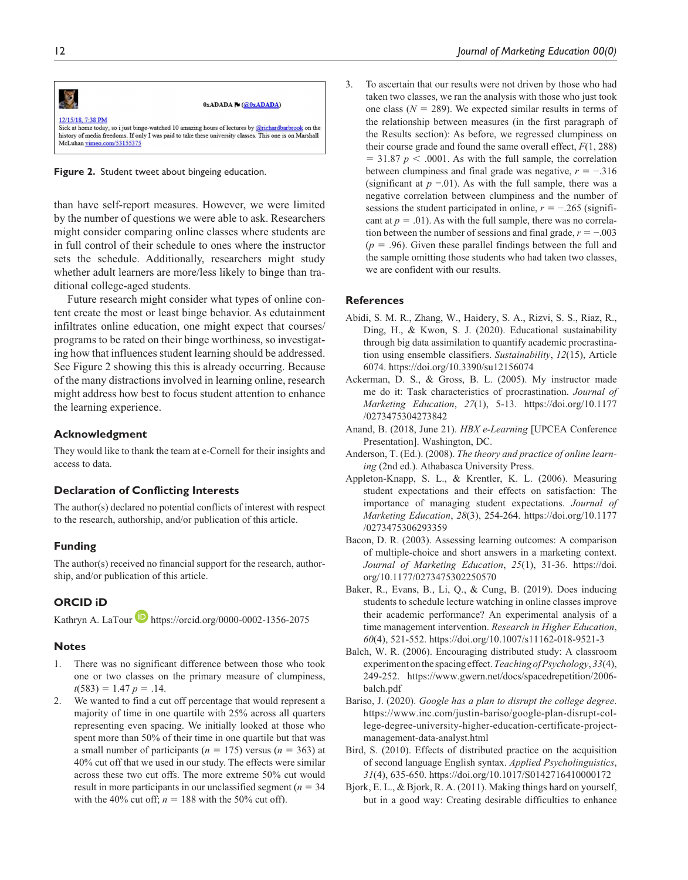

**Figure 2.** Student tweet about bingeing education.

than have self-report measures. However, we were limited by the number of questions we were able to ask. Researchers might consider comparing online classes where students are in full control of their schedule to ones where the instructor sets the schedule. Additionally, researchers might study whether adult learners are more/less likely to binge than traditional college-aged students.

Future research might consider what types of online content create the most or least binge behavior. As edutainment infiltrates online education, one might expect that courses/ programs to be rated on their binge worthiness, so investigating how that influences student learning should be addressed. See Figure 2 showing this this is already occurring. Because of the many distractions involved in learning online, research might address how best to focus student attention to enhance the learning experience.

#### **Acknowledgment**

They would like to thank the team at e-Cornell for their insights and access to data.

#### **Declaration of Conflicting Interests**

The author(s) declared no potential conflicts of interest with respect to the research, authorship, and/or publication of this article.

#### **Funding**

The author(s) received no financial support for the research, authorship, and/or publication of this article.

#### **ORCID iD**

Kathryn A. LaTour **https://orcid.org/0000-0002-1356-2075** 

#### **Notes**

- 1. There was no significant difference between those who took one or two classes on the primary measure of clumpiness,  $t(583) = 1.47 p = .14.$
- 2. We wanted to find a cut off percentage that would represent a majority of time in one quartile with 25% across all quarters representing even spacing. We initially looked at those who spent more than 50% of their time in one quartile but that was a small number of participants ( $n = 175$ ) versus ( $n = 363$ ) at 40% cut off that we used in our study. The effects were similar across these two cut offs. The more extreme 50% cut would result in more participants in our unclassified segment (*n* = 34 with the 40% cut off;  $n = 188$  with the 50% cut off).

3. To ascertain that our results were not driven by those who had taken two classes, we ran the analysis with those who just took one class  $(N = 289)$ . We expected similar results in terms of the relationship between measures (in the first paragraph of the Results section): As before, we regressed clumpiness on their course grade and found the same overall effect, *F*(1, 288)  $= 31.87 \ p \leq .0001$ . As with the full sample, the correlation between clumpiness and final grade was negative, *r* = −.316 (significant at  $p = 01$ ). As with the full sample, there was a negative correlation between clumpiness and the number of sessions the student participated in online,  $r = -0.265$  (significant at  $p = .01$ ). As with the full sample, there was no correlation between the number of sessions and final grade, *r* = −.003  $(p = .96)$ . Given these parallel findings between the full and the sample omitting those students who had taken two classes, we are confident with our results.

#### **References**

- Abidi, S. M. R., Zhang, W., Haidery, S. A., Rizvi, S. S., Riaz, R., Ding, H., & Kwon, S. J. (2020). Educational sustainability through big data assimilation to quantify academic procrastination using ensemble classifiers. *Sustainability*, *12*(15), Article 6074. https://doi.org/10.3390/su12156074
- Ackerman, D. S., & Gross, B. L. (2005). My instructor made me do it: Task characteristics of procrastination. *Journal of Marketing Education*, *27*(1), 5-13. https://doi.org/10.1177 /0273475304273842
- Anand, B. (2018, June 21). *HBX e-Learning* [UPCEA Conference Presentation]. Washington, DC.
- Anderson, T. (Ed.). (2008). *The theory and practice of online learning* (2nd ed.). Athabasca University Press.
- Appleton-Knapp, S. L., & Krentler, K. L. (2006). Measuring student expectations and their effects on satisfaction: The importance of managing student expectations. *Journal of Marketing Education*, *28*(3), 254-264. https://doi.org/10.1177 /0273475306293359
- Bacon, D. R. (2003). Assessing learning outcomes: A comparison of multiple-choice and short answers in a marketing context. *Journal of Marketing Education*, *25*(1), 31-36. https://doi. org/10.1177/0273475302250570
- Baker, R., Evans, B., Li, Q., & Cung, B. (2019). Does inducing students to schedule lecture watching in online classes improve their academic performance? An experimental analysis of a time management intervention. *Research in Higher Education*, *60*(4), 521-552. https://doi.org/10.1007/s11162-018-9521-3
- Balch, W. R. (2006). Encouraging distributed study: A classroom experiment on the spacing effect. *Teaching of Psychology*, *33*(4), 249-252. https://www.gwern.net/docs/spacedrepetition/2006 balch.pdf
- Bariso, J. (2020). *Google has a plan to disrupt the college degree*. https://www.inc.com/justin-bariso/google-plan-disrupt-college-degree-university-higher-education-certificate-projectmanagement-data-analyst.html
- Bird, S. (2010). Effects of distributed practice on the acquisition of second language English syntax. *Applied Psycholinguistics*, *31*(4), 635-650. https://doi.org/10.1017/S0142716410000172
- Bjork, E. L., & Bjork, R. A. (2011). Making things hard on yourself, but in a good way: Creating desirable difficulties to enhance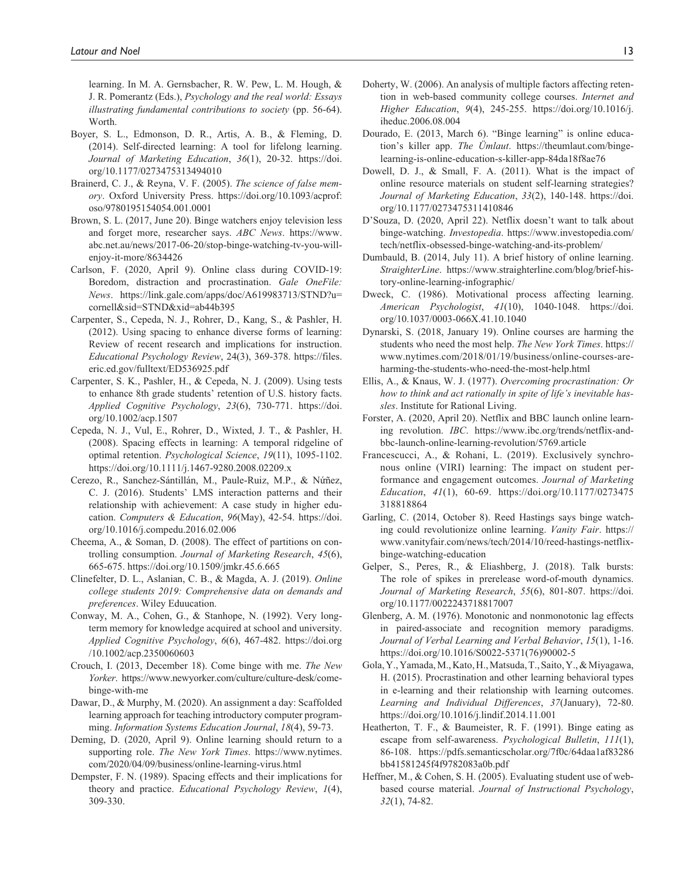learning. In M. A. Gernsbacher, R. W. Pew, L. M. Hough, & J. R. Pomerantz (Eds.), *Psychology and the real world: Essays illustrating fundamental contributions to society* (pp. 56-64). Worth.

- Boyer, S. L., Edmonson, D. R., Artis, A. B., & Fleming, D. (2014). Self-directed learning: A tool for lifelong learning. *Journal of Marketing Education*, *36*(1), 20-32. https://doi. org/10.1177/0273475313494010
- Brainerd, C. J., & Reyna, V. F. (2005). *The science of false memory*. Oxford University Press. https://doi.org/10.1093/acprof: oso/9780195154054.001.0001
- Brown, S. L. (2017, June 20). Binge watchers enjoy television less and forget more, researcher says. *ABC News*. https://www. abc.net.au/news/2017-06-20/stop-binge-watching-tv-you-willenjoy-it-more/8634426
- Carlson, F. (2020, April 9). Online class during COVID-19: Boredom, distraction and procrastination. *Gale OneFile: News*. https://link.gale.com/apps/doc/A619983713/STND?u= cornell&sid=STND&xid=ab44b395
- Carpenter, S., Cepeda, N. J., Rohrer, D., Kang, S., & Pashler, H. (2012). Using spacing to enhance diverse forms of learning: Review of recent research and implications for instruction. *Educational Psychology Review*, 24(3), 369-378. https://files. eric.ed.gov/fulltext/ED536925.pdf
- Carpenter, S. K., Pashler, H., & Cepeda, N. J. (2009). Using tests to enhance 8th grade students' retention of U.S. history facts. *Applied Cognitive Psychology*, *23*(6), 730-771. https://doi. org/10.1002/acp.1507
- Cepeda, N. J., Vul, E., Rohrer, D., Wixted, J. T., & Pashler, H. (2008). Spacing effects in learning: A temporal ridgeline of optimal retention. *Psychological Science*, *19*(11), 1095-1102. https://doi.org/10.1111/j.1467-9280.2008.02209.x
- Cerezo, R., Sanchez-Sántillán, M., Paule-Ruiz, M.P., & Nứñez, C. J. (2016). Students' LMS interaction patterns and their relationship with achievement: A case study in higher education. *Computers & Education*, *96*(May), 42-54. https://doi. org/10.1016/j.compedu.2016.02.006
- Cheema, A., & Soman, D. (2008). The effect of partitions on controlling consumption. *Journal of Marketing Research*, *45*(6), 665-675. https://doi.org/10.1509/jmkr.45.6.665
- Clinefelter, D. L., Aslanian, C. B., & Magda, A. J. (2019). *Online college students 2019: Comprehensive data on demands and preferences*. Wiley Eduucation.
- Conway, M. A., Cohen, G., & Stanhope, N. (1992). Very longterm memory for knowledge acquired at school and university. *Applied Cognitive Psychology*, *6*(6), 467-482. https://doi.org /10.1002/acp.2350060603
- Crouch, I. (2013, December 18). Come binge with me. *The New Yorker*. https://www.newyorker.com/culture/culture-desk/comebinge-with-me
- Dawar, D., & Murphy, M. (2020). An assignment a day: Scaffolded learning approach for teaching introductory computer programming. *Information Systems Education Journal*, *18*(4), 59-73.
- Deming, D. (2020, April 9). Online learning should return to a supporting role. *The New York Times*. https://www.nytimes. com/2020/04/09/business/online-learning-virus.html
- Dempster, F. N. (1989). Spacing effects and their implications for theory and practice. *Educational Psychology Review*, *1*(4), 309-330.
- Doherty, W. (2006). An analysis of multiple factors affecting retention in web-based community college courses. *Internet and Higher Education*, *9*(4), 245-255. https://doi.org/10.1016/j. iheduc.2006.08.004
- Dourado, E. (2013, March 6). "Binge learning" is online education's killer app. *The Ümlaut*. https://theumlaut.com/bingelearning-is-online-education-s-killer-app-84da18f8ae76
- Dowell, D. J., & Small, F. A. (2011). What is the impact of online resource materials on student self-learning strategies? *Journal of Marketing Education*, *33*(2), 140-148. https://doi. org/10.1177/0273475311410846
- D'Souza, D. (2020, April 22). Netflix doesn't want to talk about binge-watching. *Investopedia*. https://www.investopedia.com/ tech/netflix-obsessed-binge-watching-and-its-problem/
- Dumbauld, B. (2014, July 11). A brief history of online learning. *StraighterLine*. https://www.straighterline.com/blog/brief-history-online-learning-infographic/
- Dweck, C. (1986). Motivational process affecting learning. *American Psychologist*, *41*(10), 1040-1048. https://doi. org/10.1037/0003-066X.41.10.1040
- Dynarski, S. (2018, January 19). Online courses are harming the students who need the most help. *The New York Times*. https:// www.nytimes.com/2018/01/19/business/online-courses-areharming-the-students-who-need-the-most-help.html
- Ellis, A., & Knaus, W. J. (1977). *Overcoming procrastination: Or how to think and act rationally in spite of life's inevitable hassles*. Institute for Rational Living.
- Forster, A. (2020, April 20). Netflix and BBC launch online learning revolution. *IBC*. https://www.ibc.org/trends/netflix-andbbc-launch-online-learning-revolution/5769.article
- Francescucci, A., & Rohani, L. (2019). Exclusively synchronous online (VIRI) learning: The impact on student performance and engagement outcomes. *Journal of Marketing Education*, *41*(1), 60-69. https://doi.org/10.1177/0273475 318818864
- Garling, C. (2014, October 8). Reed Hastings says binge watching could revolutionize online learning. *Vanity Fair*. https:// www.vanityfair.com/news/tech/2014/10/reed-hastings-netflixbinge-watching-education
- Gelper, S., Peres, R., & Eliashberg, J. (2018). Talk bursts: The role of spikes in prerelease word-of-mouth dynamics. *Journal of Marketing Research*, *55*(6), 801-807. https://doi. org/10.1177/0022243718817007
- Glenberg, A. M. (1976). Monotonic and nonmonotonic lag effects in paired-associate and recognition memory paradigms. *Journal of Verbal Learning and Verbal Behavior*, *15*(1), 1-16. https://doi.org/10.1016/S0022-5371(76)90002-5
- Gola, Y., Yamada, M., Kato, H., Matsuda, T., Saito, Y., & Miyagawa, H. (2015). Procrastination and other learning behavioral types in e-learning and their relationship with learning outcomes. *Learning and Individual Differences*, *37*(January), 72-80. https://doi.org/10.1016/j.lindif.2014.11.001
- Heatherton, T. F., & Baumeister, R. F. (1991). Binge eating as escape from self-awareness. *Psychological Bulletin*, *111*(1), 86-108. https://pdfs.semanticscholar.org/7f0c/64daa1af83286 bb41581245f4f9782083a0b.pdf
- Heffner, M., & Cohen, S. H. (2005). Evaluating student use of webbased course material. *Journal of Instructional Psychology*, *32*(1), 74-82.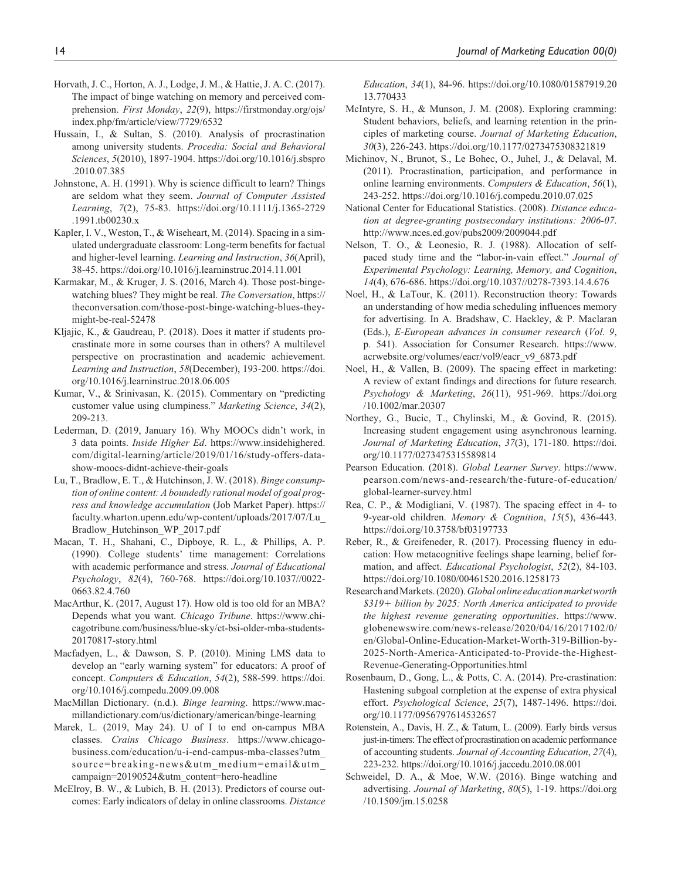- Horvath, J. C., Horton, A. J., Lodge, J. M., & Hattie, J. A. C. (2017). The impact of binge watching on memory and perceived comprehension. *First Monday*, *22*(9), https://firstmonday.org/ojs/ index.php/fm/article/view/7729/6532
- Hussain, I., & Sultan, S. (2010). Analysis of procrastination among university students. *Procedia: Social and Behavioral Sciences*, *5*(2010), 1897-1904. https://doi.org/10.1016/j.sbspro .2010.07.385
- Johnstone, A. H. (1991). Why is science difficult to learn? Things are seldom what they seem. *Journal of Computer Assisted Learning*, *7*(2), 75-83. https://doi.org/10.1111/j.1365-2729 .1991.tb00230.x
- Kapler, I. V., Weston, T., & Wiseheart, M. (2014). Spacing in a simulated undergraduate classroom: Long-term benefits for factual and higher-level learning. *Learning and Instruction*, *36*(April), 38-45. https://doi.org/10.1016/j.learninstruc.2014.11.001
- Karmakar, M., & Kruger, J. S. (2016, March 4). Those post-bingewatching blues? They might be real. *The Conversation*, https:// theconversation.com/those-post-binge-watching-blues-theymight-be-real-52478
- Kljajic, K., & Gaudreau, P. (2018). Does it matter if students procrastinate more in some courses than in others? A multilevel perspective on procrastination and academic achievement. *Learning and Instruction*, *58*(December), 193-200. https://doi. org/10.1016/j.learninstruc.2018.06.005
- Kumar, V., & Srinivasan, K. (2015). Commentary on "predicting customer value using clumpiness." *Marketing Science*, *34*(2), 209-213.
- Lederman, D. (2019, January 16). Why MOOCs didn't work, in 3 data points. *Inside Higher Ed*. https://www.insidehighered. com/digital-learning/article/2019/01/16/study-offers-datashow-moocs-didnt-achieve-their-goals
- Lu, T., Bradlow, E. T., & Hutchinson, J. W. (2018). *Binge consumption of online content: A boundedly rational model of goal progress and knowledge accumulation* (Job Market Paper). https:// faculty.wharton.upenn.edu/wp-content/uploads/2017/07/Lu\_ Bradlow\_Hutchinson\_WP\_2017.pdf
- Macan, T. H., Shahani, C., Dipboye, R. L., & Phillips, A. P. (1990). College students' time management: Correlations with academic performance and stress. *Journal of Educational Psychology*, *82*(4), 760-768. https://doi.org/10.1037//0022- 0663.82.4.760
- MacArthur, K. (2017, August 17). How old is too old for an MBA? Depends what you want. *Chicago Tribune*. https://www.chicagotribune.com/business/blue-sky/ct-bsi-older-mba-students-20170817-story.html
- Macfadyen, L., & Dawson, S. P. (2010). Mining LMS data to develop an "early warning system" for educators: A proof of concept. *Computers & Education*, *54*(2), 588-599. https://doi. org/10.1016/j.compedu.2009.09.008
- MacMillan Dictionary. (n.d.). *Binge learning*. https://www.macmillandictionary.com/us/dictionary/american/binge-learning
- Marek, L. (2019, May 24). U of I to end on-campus MBA classes. *Crains Chicago Business*. https://www.chicagobusiness.com/education/u-i-end-campus-mba-classes?utm\_ source=breaking-news&utm\_medium=email&utm\_ campaign=20190524&utm\_content=hero-headline
- McElroy, B. W., & Lubich, B. H. (2013). Predictors of course outcomes: Early indicators of delay in online classrooms. *Distance*

*Education*, *34*(1), 84-96. https://doi.org/10.1080/01587919.20 13.770433

- McIntyre, S. H., & Munson, J. M. (2008). Exploring cramming: Student behaviors, beliefs, and learning retention in the principles of marketing course. *Journal of Marketing Education*, *30*(3), 226-243. https://doi.org/10.1177/0273475308321819
- Michinov, N., Brunot, S., Le Bohec, O., Juhel, J., & Delaval, M. (2011). Procrastination, participation, and performance in online learning environments. *Computers & Education*, *56*(1), 243-252. https://doi.org/10.1016/j.compedu.2010.07.025
- National Center for Educational Statistics. (2008). *Distance education at degree-granting postsecondary institutions: 2006-07*. http://www.nces.ed.gov/pubs2009/2009044.pdf
- Nelson, T. O., & Leonesio, R. J. (1988). Allocation of selfpaced study time and the "labor-in-vain effect." *Journal of Experimental Psychology: Learning, Memory, and Cognition*, *14*(4), 676-686. https://doi.org/10.1037//0278-7393.14.4.676
- Noel, H., & LaTour, K. (2011). Reconstruction theory: Towards an understanding of how media scheduling influences memory for advertising. In A. Bradshaw, C. Hackley, & P. Maclaran (Eds.), *E-European advances in consumer research* (*Vol. 9*, p. 541). Association for Consumer Research. https://www. acrwebsite.org/volumes/eacr/vol9/eacr\_v9\_6873.pdf
- Noel, H., & Vallen, B. (2009). The spacing effect in marketing: A review of extant findings and directions for future research. *Psychology & Marketing*, *26*(11), 951-969. https://doi.org /10.1002/mar.20307
- Northey, G., Bucic, T., Chylinski, M., & Govind, R. (2015). Increasing student engagement using asynchronous learning. *Journal of Marketing Education*, *37*(3), 171-180. https://doi. org/10.1177/0273475315589814
- Pearson Education. (2018). *Global Learner Survey*. https://www. pearson.com/news-and-research/the-future-of-education/ global-learner-survey.html
- Rea, C. P., & Modigliani, V. (1987). The spacing effect in 4- to 9-year-old children. *Memory & Cognition*, *15*(5), 436-443. https://doi.org/10.3758/bf03197733
- Reber, R., & Greifeneder, R. (2017). Processing fluency in education: How metacognitive feelings shape learning, belief formation, and affect. *Educational Psychologist*, *52*(2), 84-103. https://doi.org/10.1080/00461520.2016.1258173
- Research and Markets. (2020). *Global online education market worth \$319*+ *billion by 2025: North America anticipated to provide the highest revenue generating opportunities*. https://www. globenewswire.com/news-release/2020/04/16/2017102/0/ en/Global-Online-Education-Market-Worth-319-Billion-by-2025-North-America-Anticipated-to-Provide-the-Highest-Revenue-Generating-Opportunities.html
- Rosenbaum, D., Gong, L., & Potts, C. A. (2014). Pre-crastination: Hastening subgoal completion at the expense of extra physical effort. *Psychological Science*, *25*(7), 1487-1496. https://doi. org/10.1177/0956797614532657
- Rotenstein, A., Davis, H. Z., & Tatum, L. (2009). Early birds versus just-in-timers: The effect of procrastination on academic performance of accounting students. *Journal of Accounting Education*, *27*(4), 223-232. https://doi.org/10.1016/j.jaccedu.2010.08.001
- Schweidel, D. A., & Moe, W.W. (2016). Binge watching and advertising. *Journal of Marketing*, *80*(5), 1-19. https://doi.org /10.1509/jm.15.0258